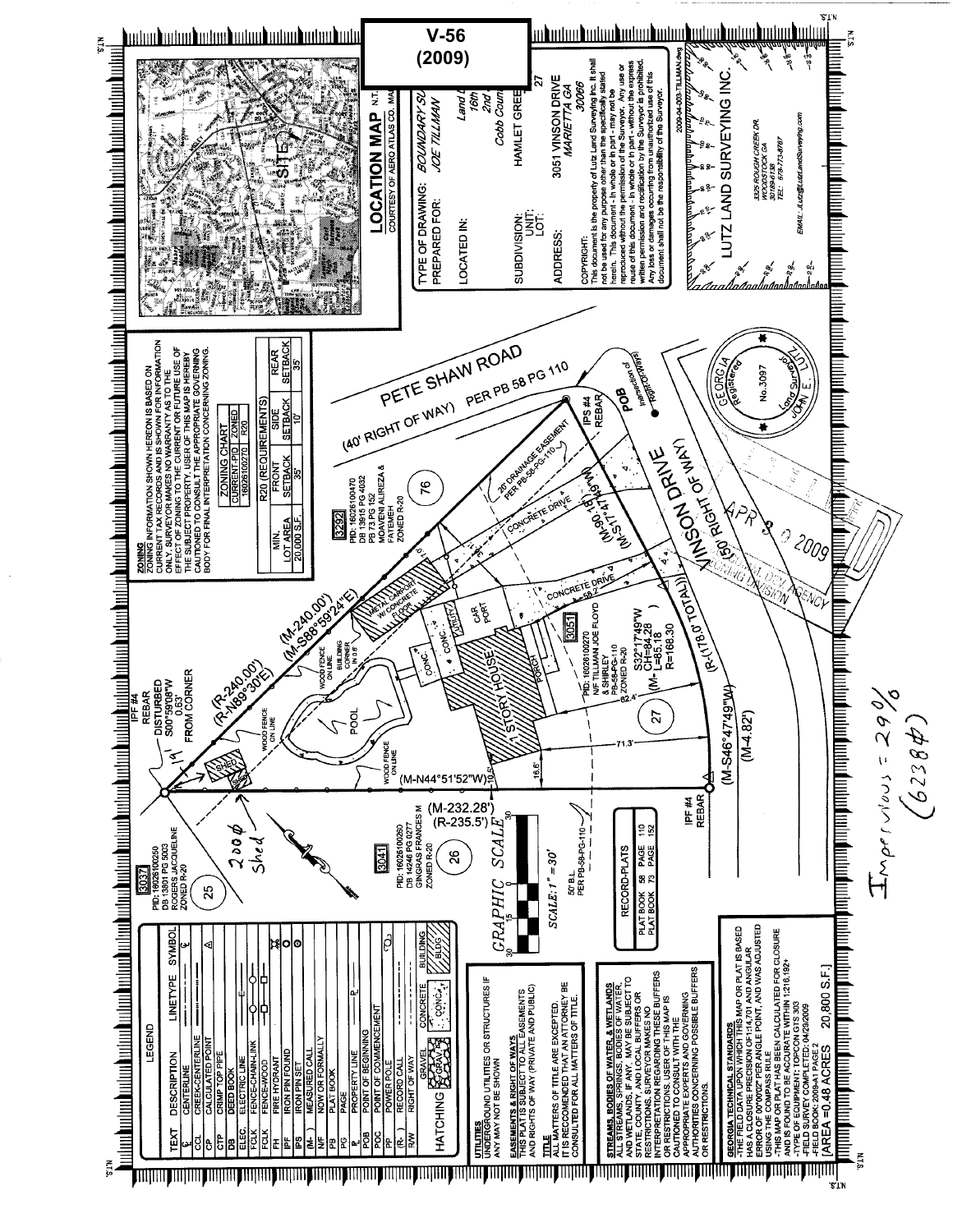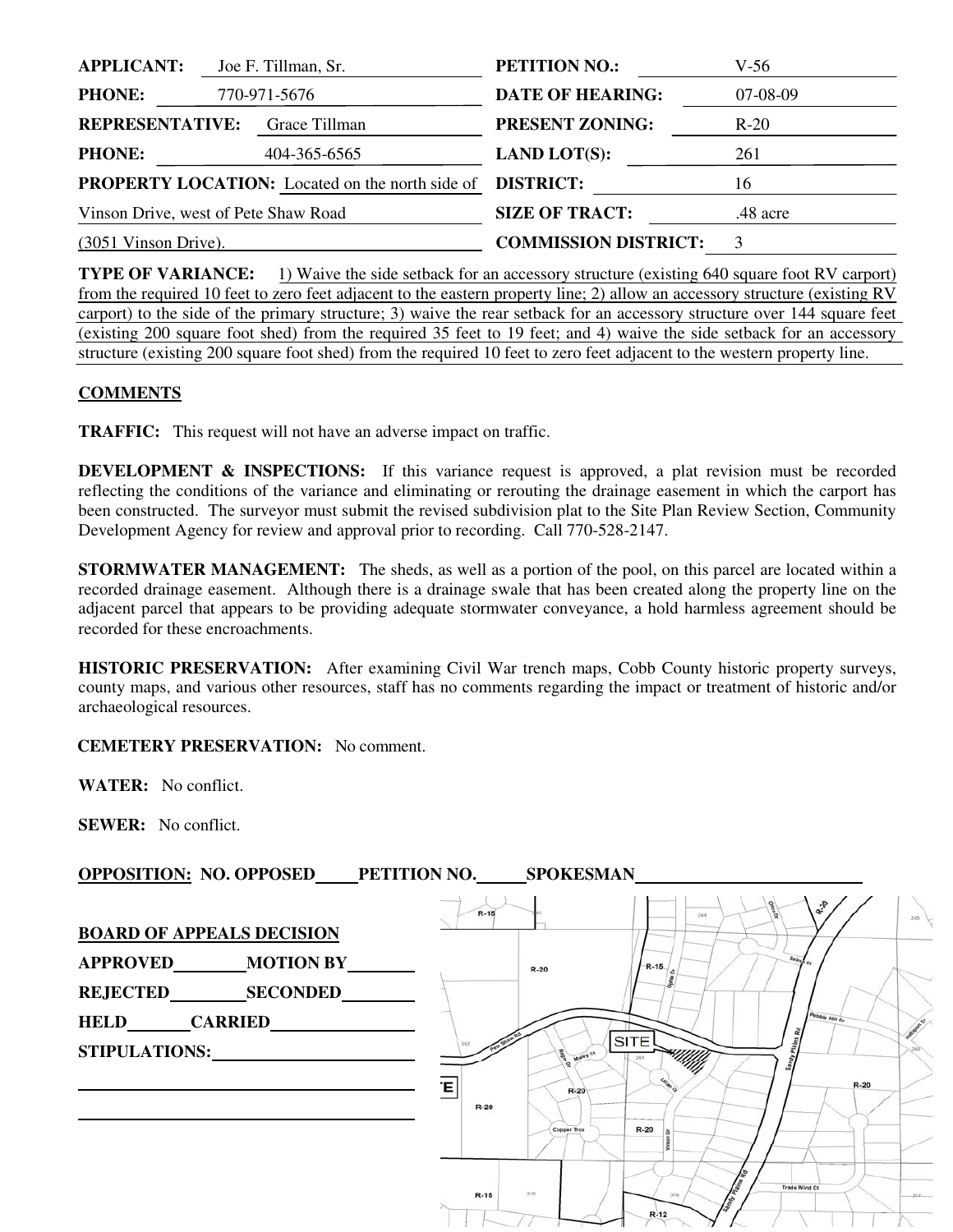| <b>APPLICANT:</b>                    | Joe F. Tillman, Sr.                                    | <b>PETITION NO.:</b>        | V-56     |
|--------------------------------------|--------------------------------------------------------|-----------------------------|----------|
| <b>PHONE:</b>                        | 770-971-5676                                           | <b>DATE OF HEARING:</b>     | 07-08-09 |
| <b>REPRESENTATIVE:</b>               | Grace Tillman                                          | <b>PRESENT ZONING:</b>      | $R-20$   |
| <b>PHONE:</b>                        | 404-365-6565                                           | <b>LAND LOT(S):</b>         | 261      |
|                                      | <b>PROPERTY LOCATION:</b> Located on the north side of | <b>DISTRICT:</b>            | 16       |
| Vinson Drive, west of Pete Shaw Road |                                                        | <b>SIZE OF TRACT:</b>       | .48 acre |
| $(3051$ Vinson Drive).               |                                                        | <b>COMMISSION DISTRICT:</b> | 3        |

**TYPE OF VARIANCE:** 1) Waive the side setback for an accessory structure (existing 640 square foot RV carport) from the required 10 feet to zero feet adjacent to the eastern property line; 2) allow an accessory structure (existing RV carport) to the side of the primary structure; 3) waive the rear setback for an accessory structure over 144 square feet (existing 200 square foot shed) from the required 35 feet to 19 feet; and 4) waive the side setback for an accessory structure (existing 200 square foot shed) from the required 10 feet to zero feet adjacent to the western property line.

## **COMMENTS**

**TRAFFIC:** This request will not have an adverse impact on traffic.

**DEVELOPMENT & INSPECTIONS:** If this variance request is approved, a plat revision must be recorded reflecting the conditions of the variance and eliminating or rerouting the drainage easement in which the carport has been constructed. The surveyor must submit the revised subdivision plat to the Site Plan Review Section, Community Development Agency for review and approval prior to recording. Call 770-528-2147.

**STORMWATER MANAGEMENT:** The sheds, as well as a portion of the pool, on this parcel are located within a recorded drainage easement. Although there is a drainage swale that has been created along the property line on the adjacent parcel that appears to be providing adequate stormwater conveyance, a hold harmless agreement should be recorded for these encroachments.

**HISTORIC PRESERVATION:** After examining Civil War trench maps, Cobb County historic property surveys, county maps, and various other resources, staff has no comments regarding the impact or treatment of historic and/or archaeological resources.

## **CEMETERY PRESERVATION:** No comment.

**WATER:** No conflict.

**SEWER:** No conflict.

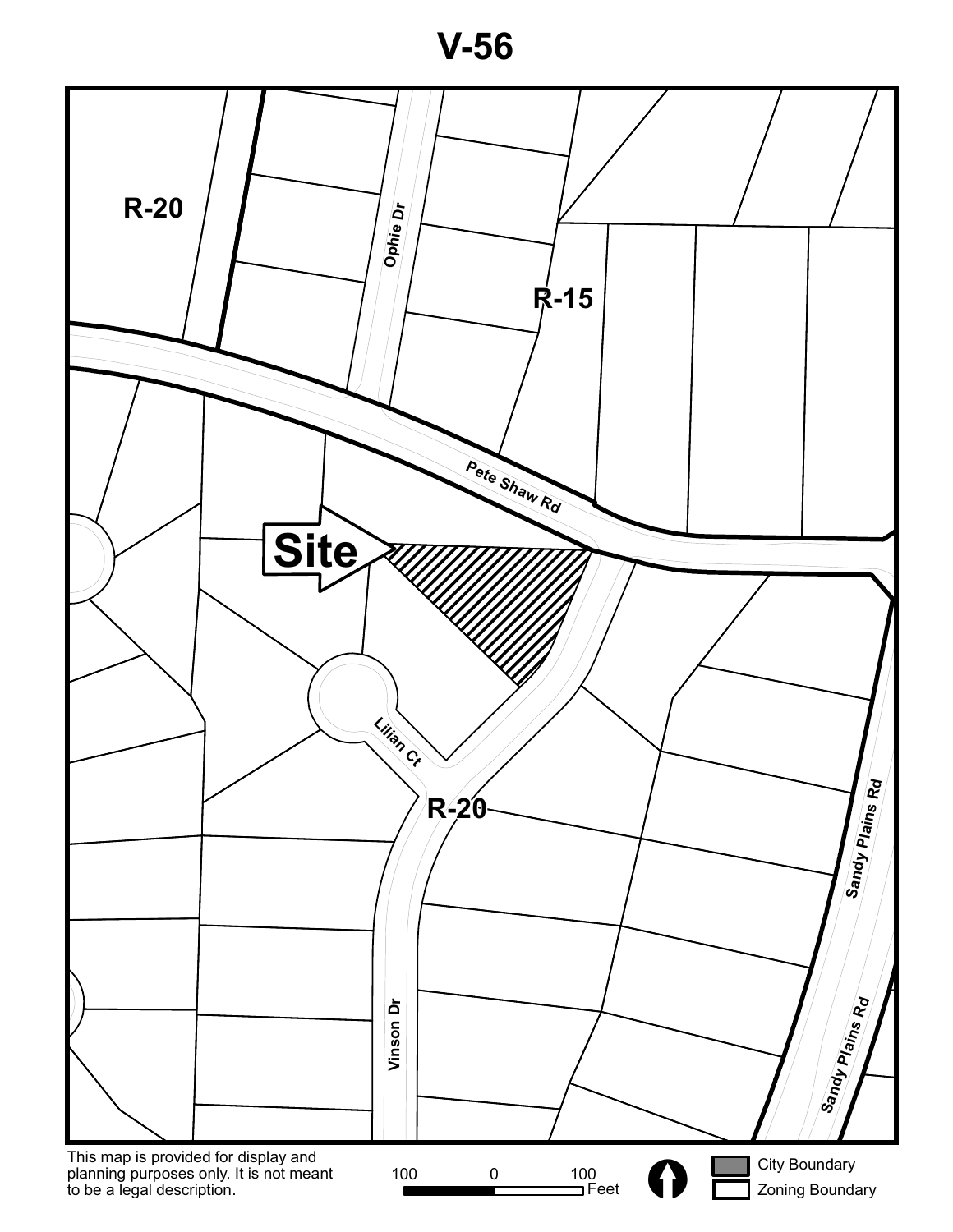**V-56**

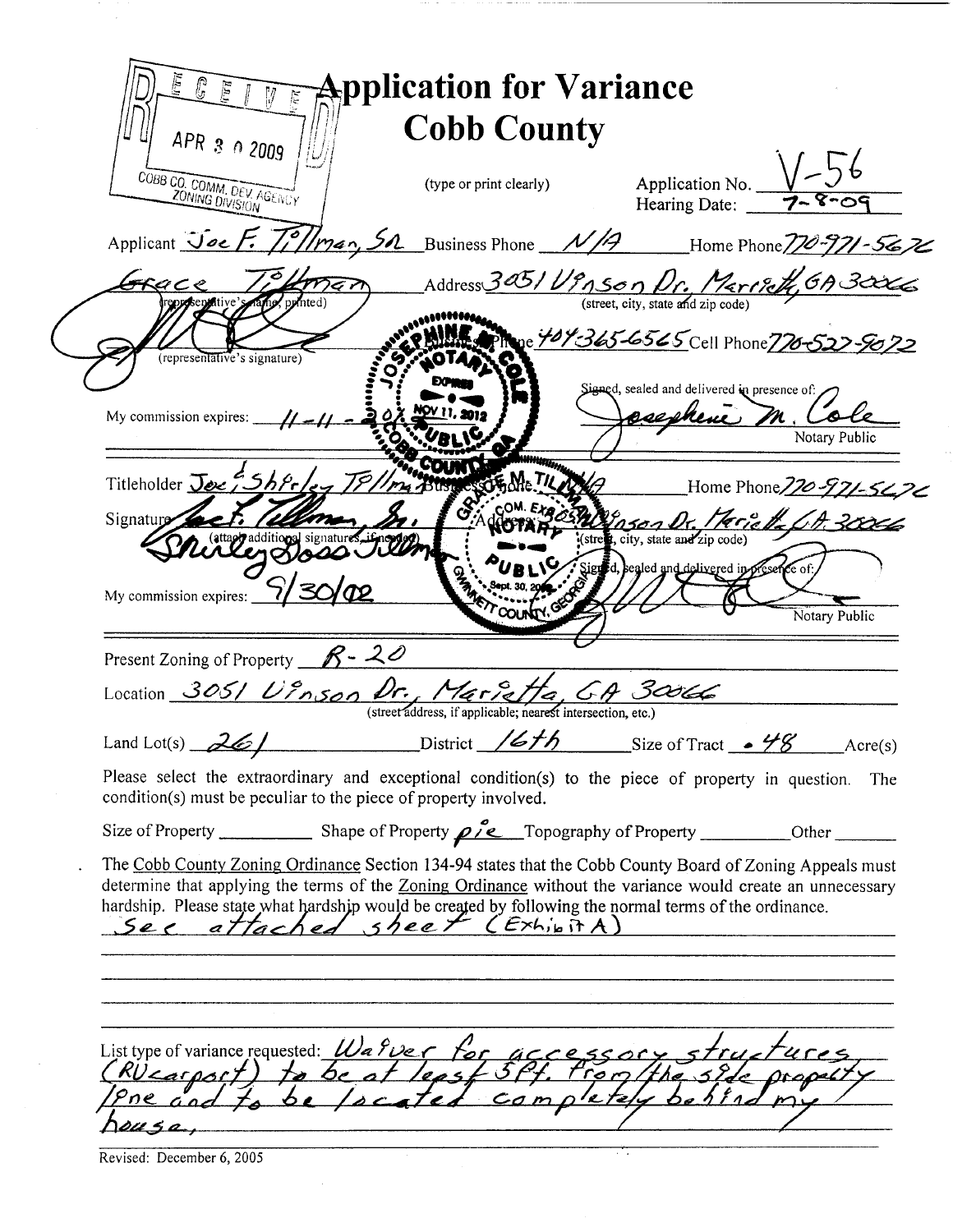| Applicant Joe F. Tillman, Sn Business Phone N/A Home Phone 770-971-5676<br>Address 305/ Ug Son Dr. Mariet 6A 3006<br>Grace<br>man<br>punted)<br>Phone 709365-6565 Cell Phone 770-522-9072<br>(representative's signature)<br>Signed, sealed and delivered in presence of:<br>osephene M. Cole<br>U. 2019<br>My commission expires: $\frac{1}{\sqrt{2}}$<br>Notary Public<br>Titleholder Jee 55hfrley TPI<br>Home Phone 770-971-5476<br>19 nson Dr. Herich (A 30006)<br>Signature<br>taggradditional si<br>Signed, sealed and delivered in presence of:<br>My commission expires: $\frac{\sqrt{7}}{2}$<br><b>Procuntry</b> GES<br>Notary Public<br>Present Zoning of Property $R - 20$<br>Location 305/ Unson Dr. Merret de Ch 30066<br>$District$ /6th Size of Tract $-$ 48 Acre(s)<br>Land Lot(s) $261$<br>Please select the extraordinary and exceptional condition(s) to the piece of property in question. The<br>condition(s) must be peculiar to the piece of property involved.<br>The Cobb County Zoning Ordinance Section 134-94 states that the Cobb County Board of Zoning Appeals must<br>determine that applying the terms of the Zoning Ordinance without the variance would create an unnecessary<br>hardship. Please state what hardship would be created by following the normal terms of the ordinance.<br>See attached sheet (Exhibit A)<br>List type of variance requested: Wa quer for accessory structures | APR 3 0 2009<br>COBB CO. COMM. DEV. AGENCY | <b>Cobb County</b><br>(type or print clearly) | Application No. $\sqrt{-56}$<br>Hearing Date: 7-8-09<br>Hearing Date: |
|----------------------------------------------------------------------------------------------------------------------------------------------------------------------------------------------------------------------------------------------------------------------------------------------------------------------------------------------------------------------------------------------------------------------------------------------------------------------------------------------------------------------------------------------------------------------------------------------------------------------------------------------------------------------------------------------------------------------------------------------------------------------------------------------------------------------------------------------------------------------------------------------------------------------------------------------------------------------------------------------------------------------------------------------------------------------------------------------------------------------------------------------------------------------------------------------------------------------------------------------------------------------------------------------------------------------------------------------------------------------------------------------------------------------------------|--------------------------------------------|-----------------------------------------------|-----------------------------------------------------------------------|
|                                                                                                                                                                                                                                                                                                                                                                                                                                                                                                                                                                                                                                                                                                                                                                                                                                                                                                                                                                                                                                                                                                                                                                                                                                                                                                                                                                                                                                  |                                            |                                               |                                                                       |
|                                                                                                                                                                                                                                                                                                                                                                                                                                                                                                                                                                                                                                                                                                                                                                                                                                                                                                                                                                                                                                                                                                                                                                                                                                                                                                                                                                                                                                  |                                            |                                               |                                                                       |
|                                                                                                                                                                                                                                                                                                                                                                                                                                                                                                                                                                                                                                                                                                                                                                                                                                                                                                                                                                                                                                                                                                                                                                                                                                                                                                                                                                                                                                  |                                            |                                               |                                                                       |
|                                                                                                                                                                                                                                                                                                                                                                                                                                                                                                                                                                                                                                                                                                                                                                                                                                                                                                                                                                                                                                                                                                                                                                                                                                                                                                                                                                                                                                  |                                            |                                               |                                                                       |
|                                                                                                                                                                                                                                                                                                                                                                                                                                                                                                                                                                                                                                                                                                                                                                                                                                                                                                                                                                                                                                                                                                                                                                                                                                                                                                                                                                                                                                  |                                            |                                               |                                                                       |
|                                                                                                                                                                                                                                                                                                                                                                                                                                                                                                                                                                                                                                                                                                                                                                                                                                                                                                                                                                                                                                                                                                                                                                                                                                                                                                                                                                                                                                  |                                            |                                               |                                                                       |
|                                                                                                                                                                                                                                                                                                                                                                                                                                                                                                                                                                                                                                                                                                                                                                                                                                                                                                                                                                                                                                                                                                                                                                                                                                                                                                                                                                                                                                  |                                            |                                               |                                                                       |
|                                                                                                                                                                                                                                                                                                                                                                                                                                                                                                                                                                                                                                                                                                                                                                                                                                                                                                                                                                                                                                                                                                                                                                                                                                                                                                                                                                                                                                  |                                            |                                               |                                                                       |
|                                                                                                                                                                                                                                                                                                                                                                                                                                                                                                                                                                                                                                                                                                                                                                                                                                                                                                                                                                                                                                                                                                                                                                                                                                                                                                                                                                                                                                  |                                            |                                               |                                                                       |
|                                                                                                                                                                                                                                                                                                                                                                                                                                                                                                                                                                                                                                                                                                                                                                                                                                                                                                                                                                                                                                                                                                                                                                                                                                                                                                                                                                                                                                  |                                            |                                               |                                                                       |
|                                                                                                                                                                                                                                                                                                                                                                                                                                                                                                                                                                                                                                                                                                                                                                                                                                                                                                                                                                                                                                                                                                                                                                                                                                                                                                                                                                                                                                  |                                            |                                               |                                                                       |
|                                                                                                                                                                                                                                                                                                                                                                                                                                                                                                                                                                                                                                                                                                                                                                                                                                                                                                                                                                                                                                                                                                                                                                                                                                                                                                                                                                                                                                  |                                            |                                               |                                                                       |
|                                                                                                                                                                                                                                                                                                                                                                                                                                                                                                                                                                                                                                                                                                                                                                                                                                                                                                                                                                                                                                                                                                                                                                                                                                                                                                                                                                                                                                  |                                            |                                               |                                                                       |
|                                                                                                                                                                                                                                                                                                                                                                                                                                                                                                                                                                                                                                                                                                                                                                                                                                                                                                                                                                                                                                                                                                                                                                                                                                                                                                                                                                                                                                  |                                            |                                               |                                                                       |
|                                                                                                                                                                                                                                                                                                                                                                                                                                                                                                                                                                                                                                                                                                                                                                                                                                                                                                                                                                                                                                                                                                                                                                                                                                                                                                                                                                                                                                  |                                            |                                               |                                                                       |
|                                                                                                                                                                                                                                                                                                                                                                                                                                                                                                                                                                                                                                                                                                                                                                                                                                                                                                                                                                                                                                                                                                                                                                                                                                                                                                                                                                                                                                  |                                            |                                               |                                                                       |
|                                                                                                                                                                                                                                                                                                                                                                                                                                                                                                                                                                                                                                                                                                                                                                                                                                                                                                                                                                                                                                                                                                                                                                                                                                                                                                                                                                                                                                  |                                            |                                               |                                                                       |
|                                                                                                                                                                                                                                                                                                                                                                                                                                                                                                                                                                                                                                                                                                                                                                                                                                                                                                                                                                                                                                                                                                                                                                                                                                                                                                                                                                                                                                  |                                            |                                               |                                                                       |

Revised: December 6, 2005